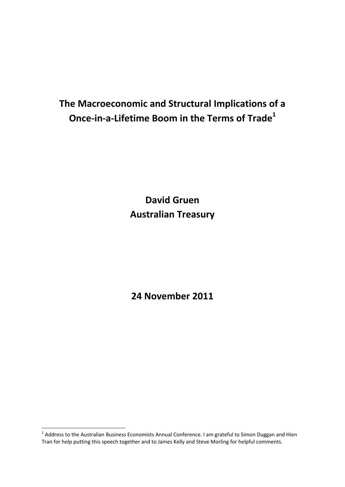# **The Macroeconomic and Structural Implications of a Once‐in‐a‐Lifetime Boom in the Terms of Trade1**

**David Gruen Australian Treasury**

**24 November 2011** 

 $^1$  Address to the Australian Business Economists Annual Conference. I am grateful to Simon Duggan and Hien Tran for help putting this speech together and to James Kelly and Steve Morling for helpful comments.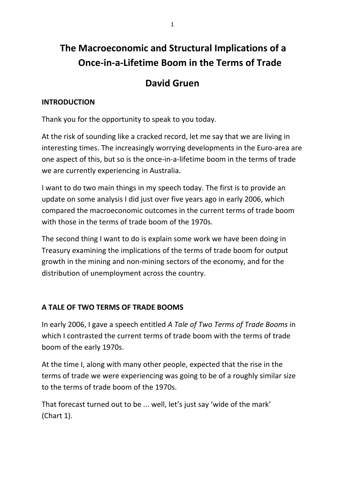# **The Macroeconomic and Structural Implications of a Once‐in‐a‐Lifetime Boom in the Terms of Trade**

## **David Gruen**

## **INTRODUCTION**

Thank you for the opportunity to speak to you today.

At the risk of sounding like a cracked record, let me say that we are living in interesting times. The increasingly worrying developments in the Euro‐area are one aspect of this, but so is the once‐in‐a‐lifetime boom in the terms of trade we are currently experiencing in Australia.

I want to do two main things in my speech today. The first is to provide an update on some analysis I did just over five years ago in early 2006, which compared the macroeconomic outcomes in the current terms of trade boom with those in the terms of trade boom of the 1970s.

The second thing I want to do is explain some work we have been doing in Treasury examining the implications of the terms of trade boom for output growth in the mining and non‐mining sectors of the economy, and for the distribution of unemployment across the country.

## **A TALE OF TWO TERMS OF TRADE BOOMS**

In early 2006, I gave a speech entitled *A Tale of Two Terms of Trade Booms* in which I contrasted the current terms of trade boom with the terms of trade boom of the early 1970s.

At the time I, along with many other people, expected that the rise in the terms of trade we were experiencing was going to be of a roughly similar size to the terms of trade boom of the 1970s.

That forecast turned out to be ... well, let's just say 'wide of the mark' (Chart 1).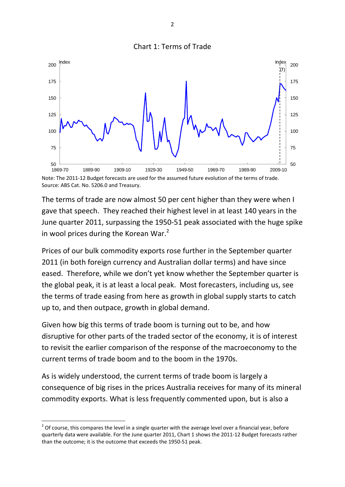



Source: ABS Cat. No. 5206.0 and Treasury.

The terms of trade are now almost 50 per cent higher than they were when I gave that speech. They reached their highest level in at least 140 years in the June quarter 2011, surpassing the 1950‐51 peak associated with the huge spike in wool prices during the Korean War. $2$ 

Prices of our bulk commodity exports rose further in the September quarter 2011 (in both foreign currency and Australian dollar terms) and have since eased. Therefore, while we don't yet know whether the September quarter is the global peak, it is at least a local peak. Most forecasters, including us, see the terms of trade easing from here as growth in global supply starts to catch up to, and then outpace, growth in global demand.

Given how big this terms of trade boom is turning out to be, and how disruptive for other parts of the traded sector of the economy, it is of interest to revisit the earlier comparison of the response of the macroeconomy to the current terms of trade boom and to the boom in the 1970s.

As is widely understood, the current terms of trade boom is largely a consequence of big rises in the prices Australia receives for many of its mineral commodity exports. What is less frequently commented upon, but is also a

 $2$  Of course, this compares the level in a single quarter with the average level over a financial year, before quarterly data were available. For the June quarter 2011, Chart 1 shows the 2011‐12 Budget forecasts rather than the outcome; it is the outcome that exceeds the 1950‐51 peak.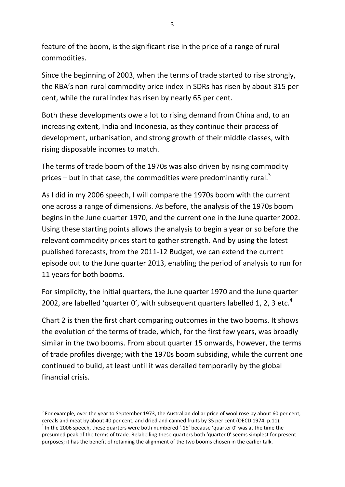feature of the boom, is the significant rise in the price of a range of rural commodities.

Since the beginning of 2003, when the terms of trade started to rise strongly, the RBA's non‐rural commodity price index in SDRs has risen by about 315 per cent, while the rural index has risen by nearly 65 per cent.

Both these developments owe a lot to rising demand from China and, to an increasing extent, India and Indonesia, as they continue their process of development, urbanisation, and strong growth of their middle classes, with rising disposable incomes to match.

The terms of trade boom of the 1970s was also driven by rising commodity prices – but in that case, the commodities were predominantly rural. $3$ 

As I did in my 2006 speech, I will compare the 1970s boom with the current one across a range of dimensions. As before, the analysis of the 1970s boom begins in the June quarter 1970, and the current one in the June quarter 2002. Using these starting points allows the analysis to begin a year or so before the relevant commodity prices start to gather strength. And by using the latest published forecasts, from the 2011‐12 Budget, we can extend the current episode out to the June quarter 2013, enabling the period of analysis to run for 11 years for both booms.

For simplicity, the initial quarters, the June quarter 1970 and the June quarter 2002, are labelled 'quarter 0', with subsequent quarters labelled 1, 2, 3 etc. $4$ 

Chart 2 is then the first chart comparing outcomes in the two booms. It shows the evolution of the terms of trade, which, for the first few years, was broadly similar in the two booms. From about quarter 15 onwards, however, the terms of trade profiles diverge; with the 1970s boom subsiding, while the current one continued to build, at least until it was derailed temporarily by the global financial crisis.

  $3$  For example, over the year to September 1973, the Australian dollar price of wool rose by about 60 per cent, cereals and meat by about 40 per cent, and dried and canned fruits by 35 per cent (OECD 1974, p.11).

<sup>&</sup>lt;sup>4</sup> In the 2006 speech, these quarters were both numbered '-15' because 'quarter 0' was at the time the presumed peak of the terms of trade. Relabelling these quarters both 'quarter 0' seems simplest for present purposes; it has the benefit of retaining the alignment of the two booms chosen in the earlier talk.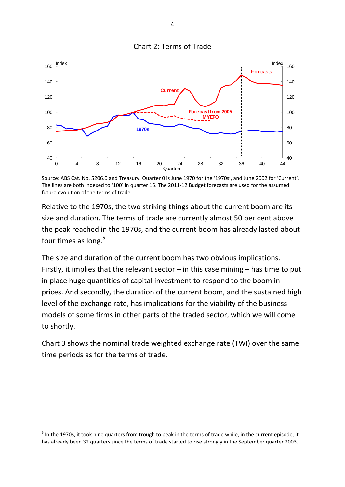

Source: ABS Cat. No. 5206.0 and Treasury. Quarter 0 is June 1970 for the '1970s', and June 2002 for 'Current'. The lines are both indexed to '100' in quarter 15. The 2011‐12 Budget forecasts are used for the assumed future evolution of the terms of trade.

Relative to the 1970s, the two striking things about the current boom are its size and duration. The terms of trade are currently almost 50 per cent above the peak reached in the 1970s, and the current boom has already lasted about four times as long.<sup>5</sup>

The size and duration of the current boom has two obvious implications. Firstly, it implies that the relevant sector  $-$  in this case mining  $-$  has time to put in place huge quantities of capital investment to respond to the boom in prices. And secondly, the duration of the current boom, and the sustained high level of the exchange rate, has implications for the viability of the business models of some firms in other parts of the traded sector, which we will come to shortly.

Chart 3 shows the nominal trade weighted exchange rate (TWI) over the same time periods as for the terms of trade.

Chart 2: Terms of Trade

 $<sup>5</sup>$  In the 1970s, it took nine quarters from trough to peak in the terms of trade while, in the current episode, it</sup> has already been 32 quarters since the terms of trade started to rise strongly in the September quarter 2003.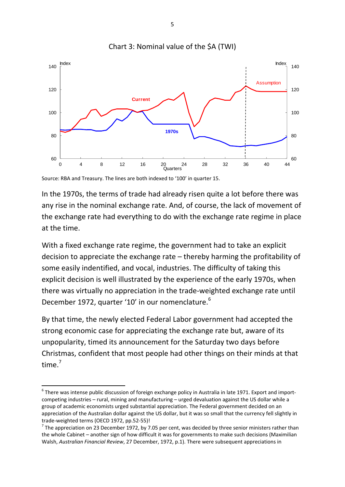

Chart 3: Nominal value of the \$A (TWI)

Source: RBA and Treasury. The lines are both indexed to '100' in quarter 15.

In the 1970s, the terms of trade had already risen quite a lot before there was any rise in the nominal exchange rate. And, of course, the lack of movement of the exchange rate had everything to do with the exchange rate regime in place at the time.

With a fixed exchange rate regime, the government had to take an explicit decision to appreciate the exchange rate – thereby harming the profitability of some easily indentified, and vocal, industries. The difficulty of taking this explicit decision is well illustrated by the experience of the early 1970s, when there was virtually no appreciation in the trade‐weighted exchange rate until December 1972, quarter '10' in our nomenclature.<sup>6</sup>

By that time, the newly elected Federal Labor government had accepted the strong economic case for appreciating the exchange rate but, aware of its unpopularity, timed its announcement for the Saturday two days before Christmas, confident that most people had other things on their minds at that time.<sup>7</sup>

<sup>6</sup> There was intense public discussion of foreign exchange policy in Australia in late 1971. Export and import‐ competing industries – rural, mining and manufacturing – urged devaluation against the US dollar while a group of academic economists urged substantial appreciation. The Federal government decided on an appreciation of the Australian dollar against the US dollar, but it was so small that the currency fell slightly in trade-weighted terms (OECD 1972, pp.52-55)!<br><sup>7</sup> The appreciation on 23 December 1972, by 7.05 per cent, was decided by three senior ministers rather than

the whole Cabinet – another sign of how difficult it was for governments to make such decisions (Maximilian Walsh, *Australian Financial Review*, 27 December, 1972, p.1). There were subsequent appreciations in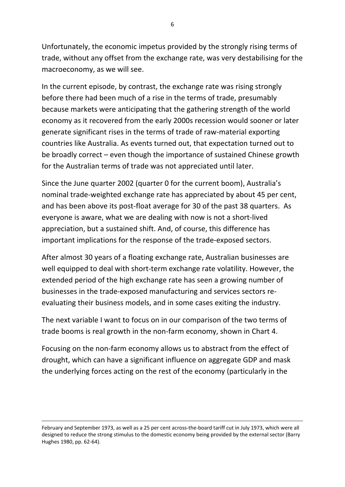Unfortunately, the economic impetus provided by the strongly rising terms of trade, without any offset from the exchange rate, was very destabilising for the macroeconomy, as we will see.

In the current episode, by contrast, the exchange rate was rising strongly before there had been much of a rise in the terms of trade, presumably because markets were anticipating that the gathering strength of the world economy as it recovered from the early 2000s recession would sooner or later generate significant rises in the terms of trade of raw‐material exporting countries like Australia. As events turned out, that expectation turned out to be broadly correct – even though the importance of sustained Chinese growth for the Australian terms of trade was not appreciated until later.

Since the June quarter 2002 (quarter 0 for the current boom), Australia's nominal trade‐weighted exchange rate has appreciated by about 45 per cent, and has been above its post‐float average for 30 of the past 38 quarters. As everyone is aware, what we are dealing with now is not a short‐lived appreciation, but a sustained shift. And, of course, this difference has important implications for the response of the trade‐exposed sectors.

After almost 30 years of a floating exchange rate, Australian businesses are well equipped to deal with short-term exchange rate volatility. However, the extended period of the high exchange rate has seen a growing number of businesses in the trade‐exposed manufacturing and services sectors re‐ evaluating their business models, and in some cases exiting the industry.

The next variable I want to focus on in our comparison of the two terms of trade booms is real growth in the non‐farm economy, shown in Chart 4.

Focusing on the non‐farm economy allows us to abstract from the effect of drought, which can have a significant influence on aggregate GDP and mask the underlying forces acting on the rest of the economy (particularly in the

<u> 1989 - Johann Barn, amerikansk politiker (d. 1989)</u>

February and September 1973, as well as a 25 per cent across-the-board tariff cut in July 1973, which were all designed to reduce the strong stimulus to the domestic economy being provided by the external sector (Barry Hughes 1980, pp. 62‐64).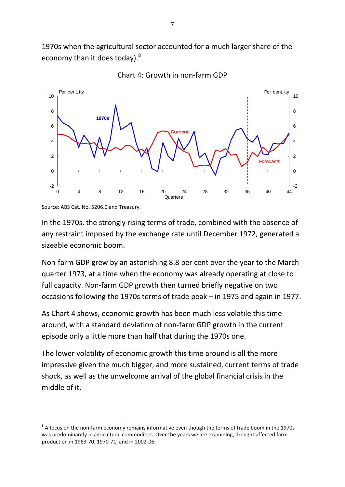1970s when the agricultural sector accounted for a much larger share of the economy than it does today).<sup>8</sup>





In the 1970s, the strongly rising terms of trade, combined with the absence of any restraint imposed by the exchange rate until December 1972, generated a sizeable economic boom.

Non‐farm GDP grew by an astonishing 8.8 per cent over the year to the March quarter 1973, at a time when the economy was already operating at close to full capacity. Non-farm GDP growth then turned briefly negative on two occasions following the 1970s terms of trade peak – in 1975 and again in 1977.

As Chart 4 shows, economic growth has been much less volatile this time around, with a standard deviation of non‐farm GDP growth in the current episode only a little more than half that during the 1970s one.

The lower volatility of economic growth this time around is all the more impressive given the much bigger, and more sustained, current terms of trade shock, as well as the unwelcome arrival of the global financial crisis in the middle of it.

Source: ABS Cat. No. 5206.0 and Treasury.

<sup>&</sup>lt;sup>8</sup> A focus on the non-farm economy remains informative even though the terms of trade boom in the 1970s was predominantly in agricultural commodities. Over the years we are examining, drought affected farm production in 1969‐70, 1970‐71, and in 2002‐06.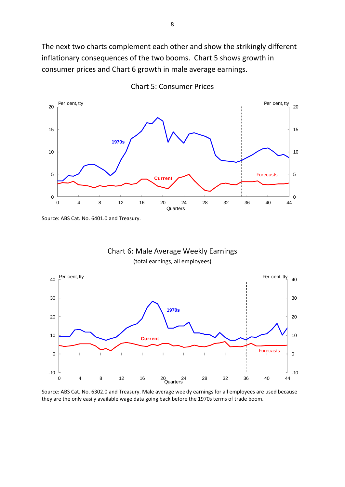The next two charts complement each other and show the strikingly different inflationary consequences of the two booms. Chart 5 shows growth in consumer prices and Chart 6 growth in male average earnings.



Chart 5: Consumer Prices

Source: ABS Cat. No. 6401.0 and Treasury.





Source: ABS Cat. No. 6302.0 and Treasury. Male average weekly earnings for all employees are used because they are the only easily available wage data going back before the 1970s terms of trade boom.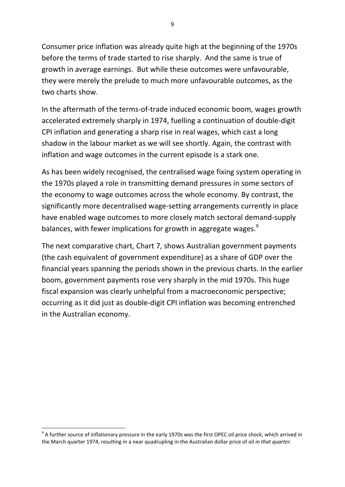Consumer price inflation was already quite high at the beginning of the 1970s before the terms of trade started to rise sharply. And the same is true of growth in average earnings. But while these outcomes were unfavourable, they were merely the prelude to much more unfavourable outcomes, as the two charts show.

In the aftermath of the terms‐of‐trade induced economic boom, wages growth accelerated extremely sharply in 1974, fuelling a continuation of double‐digit CPI inflation and generating a sharp rise in real wages, which cast a long shadow in the labour market as we will see shortly. Again, the contrast with inflation and wage outcomes in the current episode is a stark one.

As has been widely recognised, the centralised wage fixing system operating in the 1970s played a role in transmitting demand pressures in some sectors of the economy to wage outcomes across the whole economy. By contrast, the significantly more decentralised wage‐setting arrangements currently in place have enabled wage outcomes to more closely match sectoral demand‐supply balances, with fewer implications for growth in aggregate wages.<sup>9</sup>

The next comparative chart, Chart 7, shows Australian government payments (the cash equivalent of government expenditure) as a share of GDP over the financial years spanning the periods shown in the previous charts. In the earlier boom, government payments rose very sharply in the mid 1970s. This huge fiscal expansion was clearly unhelpful from a macroeconomic perspective; occurring as it did just as double‐digit CPI inflation was becoming entrenched in the Australian economy.

 $9$  A further source of inflationary pressure in the early 1970s was the first OPEC oil price shock, which arrived in the March quarter 1974, resulting in a near quadrupling in the Australian dollar price of oil *in that quarter*.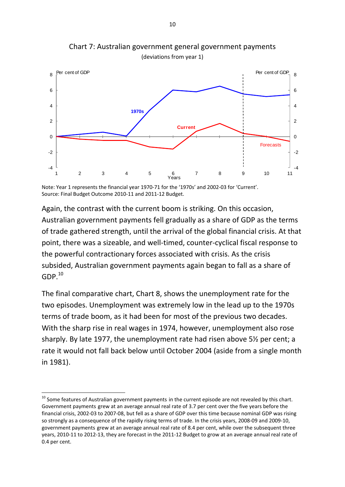

Chart 7: Australian government general government payments (deviations from year 1)

Note: Year 1 represents the financial year 1970‐71 for the '1970s' and 2002‐03 for 'Current'. Source: Final Budget Outcome 2010‐11 and 2011‐12 Budget.

Again, the contrast with the current boom is striking. On this occasion, Australian government payments fell gradually as a share of GDP as the terms of trade gathered strength, until the arrival of the global financial crisis. At that point, there was a sizeable, and well-timed, counter-cyclical fiscal response to the powerful contractionary forces associated with crisis. As the crisis subsided, Australian government payments again began to fall as a share of  $GDP<sup>10</sup>$ 

The final comparative chart, Chart 8, shows the unemployment rate for the two episodes. Unemployment was extremely low in the lead up to the 1970s terms of trade boom, as it had been for most of the previous two decades. With the sharp rise in real wages in 1974, however, unemployment also rose sharply. By late 1977, the unemployment rate had risen above 5½ per cent; a rate it would not fall back below until October 2004 (aside from a single month in 1981).

 $^{10}$  Some features of Australian government payments in the current episode are not revealed by this chart. Government payments grew at an average annual real rate of 3.7 per cent over the five years before the financial crisis, 2002‐03 to 2007‐08, but fell as a share of GDP over this time because nominal GDP was rising so strongly as a consequence of the rapidly rising terms of trade. In the crisis years, 2008‐09 and 2009‐10, government payments grew at an average annual real rate of 8.4 per cent, while over the subsequent three years, 2010‐11 to 2012‐13, they are forecast in the 2011‐12 Budget to grow at an average annual real rate of 0.4 per cent.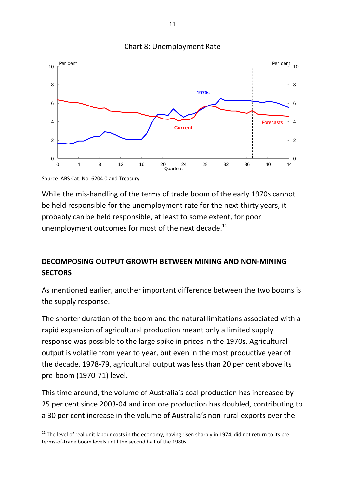

#### Chart 8: Unemployment Rate

Source: ABS Cat. No. 6204.0 and Treasury.

While the mis‐handling of the terms of trade boom of the early 1970s cannot be held responsible for the unemployment rate for the next thirty years, it probably can be held responsible, at least to some extent, for poor unemployment outcomes for most of the next decade. $^{11}$ 

## **DECOMPOSING OUTPUT GROWTH BETWEEN MINING AND NON‐MINING SECTORS**

As mentioned earlier, another important difference between the two booms is the supply response.

The shorter duration of the boom and the natural limitations associated with a rapid expansion of agricultural production meant only a limited supply response was possible to the large spike in prices in the 1970s. Agricultural output is volatile from year to year, but even in the most productive year of the decade, 1978‐79, agricultural output was less than 20 per cent above its pre‐boom (1970‐71) level.

This time around, the volume of Australia's coal production has increased by 25 per cent since 2003‐04 and iron ore production has doubled, contributing to a 30 per cent increase in the volume of Australia's non‐rural exports over the

 $11$  The level of real unit labour costs in the economy, having risen sharply in 1974, did not return to its preterms‐of‐trade boom levels until the second half of the 1980s.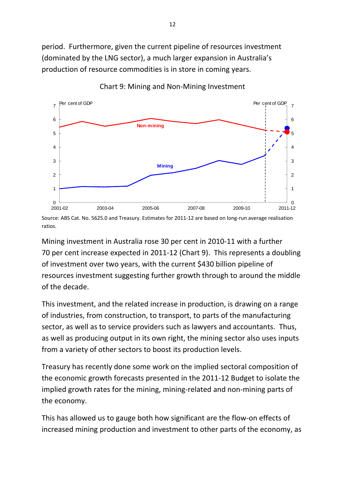period. Furthermore, given the current pipeline of resources investment (dominated by the LNG sector), a much larger expansion in Australia's production of resource commodities is in store in coming years.



Chart 9: Mining and Non‐Mining Investment

Source: ABS Cat. No. 5625.0 and Treasury. Estimates for 2011-12 are based on long-run average realisation ratios.

Mining investment in Australia rose 30 per cent in 2010‐11 with a further 70 per cent increase expected in 2011‐12 (Chart 9). This represents a doubling of investment over two years, with the current \$430 billion pipeline of resources investment suggesting further growth through to around the middle of the decade.

This investment, and the related increase in production, is drawing on a range of industries, from construction, to transport, to parts of the manufacturing sector, as well as to service providers such as lawyers and accountants. Thus, as well as producing output in its own right, the mining sector also uses inputs from a variety of other sectors to boost its production levels.

Treasury has recently done some work on the implied sectoral composition of the economic growth forecasts presented in the 2011‐12 Budget to isolate the implied growth rates for the mining, mining-related and non-mining parts of the economy.

This has allowed us to gauge both how significant are the flow‐on effects of increased mining production and investment to other parts of the economy, as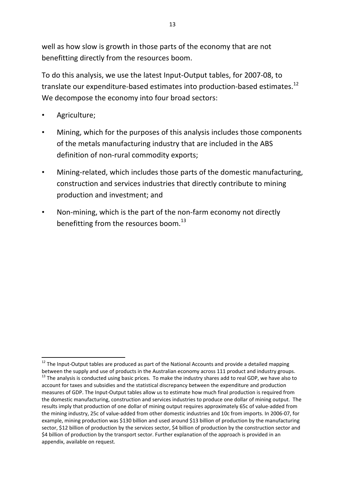well as how slow is growth in those parts of the economy that are not benefitting directly from the resources boom.

To do this analysis, we use the latest Input‐Output tables, for 2007‐08, to translate our expenditure-based estimates into production-based estimates.<sup>12</sup> We decompose the economy into four broad sectors:

• Agriculture;

- Mining, which for the purposes of this analysis includes those components of the metals manufacturing industry that are included in the ABS definition of non-rural commodity exports;
- Mining‐related, which includes those parts of the domestic manufacturing, construction and services industries that directly contribute to mining production and investment; and
- Non-mining, which is the part of the non-farm economy not directly benefitting from the resources boom.<sup>13</sup>

 $12$  The Input-Output tables are produced as part of the National Accounts and provide a detailed mapping between the supply and use of products in the Australian economy across 111 product and industry groups.<br><sup>13</sup> The analysis is conducted using basic prices. To make the industry shares add to real GDP, we have also to account for taxes and subsidies and the statistical discrepancy between the expenditure and production measures of GDP. The Input‐Output tables allow us to estimate how much final production is required from the domestic manufacturing, construction and services industries to produce one dollar of mining output. The results imply that production of one dollar of mining output requires approximately 65c of value‐added from the mining industry, 25c of value‐added from other domestic industries and 10c from imports. In 2006‐07, for example, mining production was \$130 billion and used around \$13 billion of production by the manufacturing sector, \$12 billion of production by the services sector, \$4 billion of production by the construction sector and \$4 billion of production by the transport sector. Further explanation of the approach is provided in an appendix, available on request.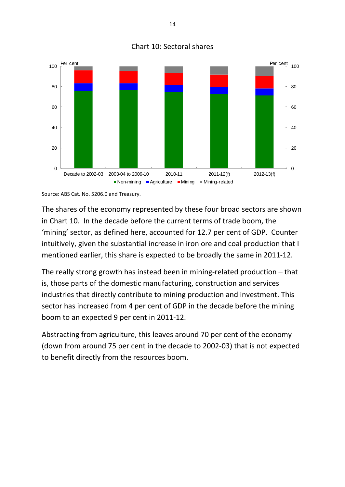

#### Chart 10: Sectoral shares

Source: ABS Cat. No. 5206.0 and Treasury.

The shares of the economy represented by these four broad sectors are shown in Chart 10. In the decade before the current terms of trade boom, the 'mining' sector, as defined here, accounted for 12.7 per cent of GDP. Counter intuitively, given the substantial increase in iron ore and coal production that I mentioned earlier, this share is expected to be broadly the same in 2011‐12.

The really strong growth has instead been in mining-related production – that is, those parts of the domestic manufacturing, construction and services industries that directly contribute to mining production and investment. This sector has increased from 4 per cent of GDP in the decade before the mining boom to an expected 9 per cent in 2011‐12.

Abstracting from agriculture, this leaves around 70 per cent of the economy (down from around 75 per cent in the decade to 2002‐03) that is not expected to benefit directly from the resources boom.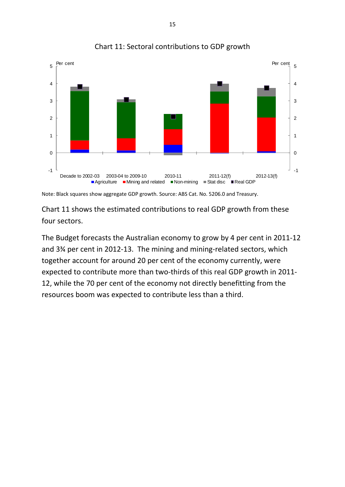

Chart 11: Sectoral contributions to GDP growth

Note: Black squares show aggregate GDP growth. Source: ABS Cat. No. 5206.0 and Treasury.

Chart 11 shows the estimated contributions to real GDP growth from these four sectors.

The Budget forecasts the Australian economy to grow by 4 per cent in 2011‐12 and 3¾ per cent in 2012‐13. The mining and mining‐related sectors, which together account for around 20 per cent of the economy currently, were expected to contribute more than two-thirds of this real GDP growth in 2011-12, while the 70 per cent of the economy not directly benefitting from the resources boom was expected to contribute less than a third.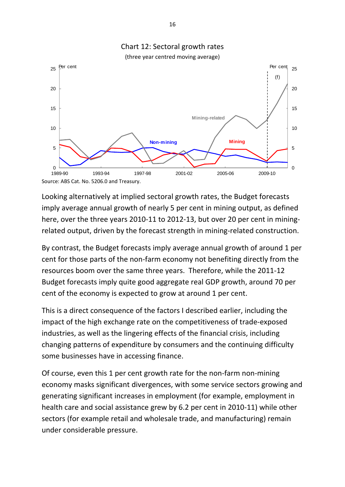

Looking alternatively at implied sectoral growth rates, the Budget forecasts imply average annual growth of nearly 5 per cent in mining output, as defined here, over the three years 2010-11 to 2012-13, but over 20 per cent in miningrelated output, driven by the forecast strength in mining‐related construction.

By contrast, the Budget forecasts imply average annual growth of around 1 per cent for those parts of the non‐farm economy not benefiting directly from the resources boom over the same three years. Therefore, while the 2011‐12 Budget forecasts imply quite good aggregate real GDP growth, around 70 per cent of the economy is expected to grow at around 1 per cent.

This is a direct consequence of the factors I described earlier, including the impact of the high exchange rate on the competitiveness of trade‐exposed industries, as well as the lingering effects of the financial crisis, including changing patterns of expenditure by consumers and the continuing difficulty some businesses have in accessing finance.

Of course, even this 1 per cent growth rate for the non-farm non-mining economy masks significant divergences, with some service sectors growing and generating significant increases in employment (for example, employment in health care and social assistance grew by 6.2 per cent in 2010‐11) while other sectors (for example retail and wholesale trade, and manufacturing) remain under considerable pressure.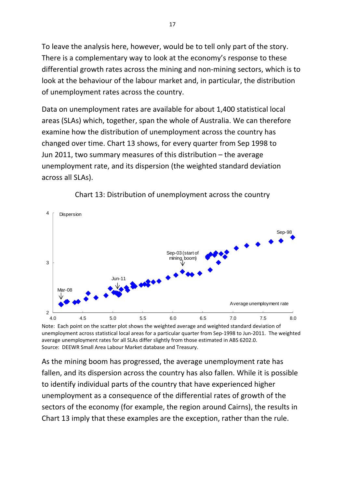To leave the analysis here, however, would be to tell only part of the story. There is a complementary way to look at the economy's response to these differential growth rates across the mining and non‐mining sectors, which is to look at the behaviour of the labour market and, in particular, the distribution of unemployment rates across the country.

Data on unemployment rates are available for about 1,400 statistical local areas (SLAs) which, together, span the whole of Australia. We can therefore examine how the distribution of unemployment across the country has changed over time. Chart 13 shows, for every quarter from Sep 1998 to Jun 2011, two summary measures of this distribution – the average unemployment rate, and its dispersion (the weighted standard deviation across all SLAs).



Chart 13: Distribution of unemployment across the country

Note: Each point on the scatter plot shows the weighted average and weighted standard deviation of unemployment across statistical local areas for a particular quarter from Sep-1998 to Jun-2011. The weighted average unemployment rates for all SLAs differ slightly from those estimated in ABS 6202.0. Source: DEEWR Small Area Labour Market database and Treasury.

As the mining boom has progressed, the average unemployment rate has fallen, and its dispersion across the country has also fallen. While it is possible to identify individual parts of the country that have experienced higher unemployment as a consequence of the differential rates of growth of the sectors of the economy (for example, the region around Cairns), the results in Chart 13 imply that these examples are the exception, rather than the rule.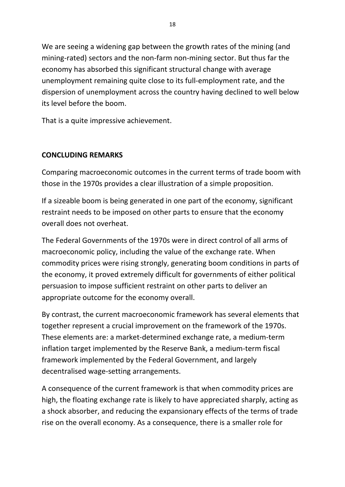We are seeing a widening gap between the growth rates of the mining (and mining‐rated) sectors and the non‐farm non‐mining sector. But thus far the economy has absorbed this significant structural change with average unemployment remaining quite close to its full‐employment rate, and the dispersion of unemployment across the country having declined to well below its level before the boom.

That is a quite impressive achievement.

## **CONCLUDING REMARKS**

Comparing macroeconomic outcomes in the current terms of trade boom with those in the 1970s provides a clear illustration of a simple proposition.

If a sizeable boom is being generated in one part of the economy, significant restraint needs to be imposed on other parts to ensure that the economy overall does not overheat.

The Federal Governments of the 1970s were in direct control of all arms of macroeconomic policy, including the value of the exchange rate. When commodity prices were rising strongly, generating boom conditions in parts of the economy, it proved extremely difficult for governments of either political persuasion to impose sufficient restraint on other parts to deliver an appropriate outcome for the economy overall.

By contrast, the current macroeconomic framework has several elements that together represent a crucial improvement on the framework of the 1970s. These elements are: a market‐determined exchange rate, a medium‐term inflation target implemented by the Reserve Bank, a medium‐term fiscal framework implemented by the Federal Government, and largely decentralised wage‐setting arrangements.

A consequence of the current framework is that when commodity prices are high, the floating exchange rate is likely to have appreciated sharply, acting as a shock absorber, and reducing the expansionary effects of the terms of trade rise on the overall economy. As a consequence, there is a smaller role for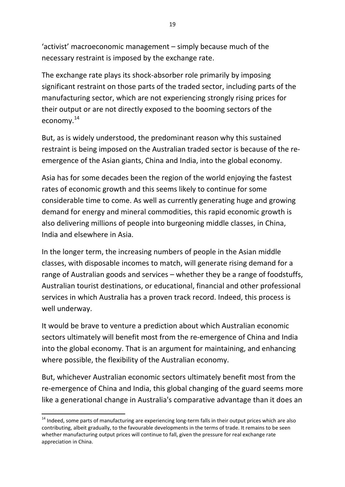'activist' macroeconomic management – simply because much of the necessary restraint is imposed by the exchange rate.

The exchange rate plays its shock‐absorber role primarily by imposing significant restraint on those parts of the traded sector, including parts of the manufacturing sector, which are not experiencing strongly rising prices for their output or are not directly exposed to the booming sectors of the economy.<sup>14</sup>

But, as is widely understood, the predominant reason why this sustained restraint is being imposed on the Australian traded sector is because of the re‐ emergence of the Asian giants, China and India, into the global economy.

Asia has for some decades been the region of the world enjoying the fastest rates of economic growth and this seems likely to continue for some considerable time to come. As well as currently generating huge and growing demand for energy and mineral commodities, this rapid economic growth is also delivering millions of people into burgeoning middle classes, in China, India and elsewhere in Asia.

In the longer term, the increasing numbers of people in the Asian middle classes, with disposable incomes to match, will generate rising demand for a range of Australian goods and services – whether they be a range of foodstuffs, Australian tourist destinations, or educational, financial and other professional services in which Australia has a proven track record. Indeed, this process is well underway.

It would be brave to venture a prediction about which Australian economic sectors ultimately will benefit most from the re-emergence of China and India into the global economy. That is an argument for maintaining, and enhancing where possible, the flexibility of the Australian economy.

But, whichever Australian economic sectors ultimately benefit most from the re-emergence of China and India, this global changing of the guard seems more like a generational change in Australia's comparative advantage than it does an

<sup>&</sup>lt;sup>14</sup> Indeed, some parts of manufacturing are experiencing long-term falls in their output prices which are also contributing, albeit gradually, to the favourable developments in the terms of trade. It remains to be seen whether manufacturing output prices will continue to fall, given the pressure for real exchange rate appreciation in China.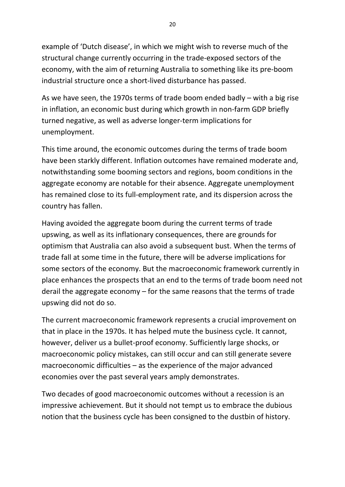example of 'Dutch disease', in which we might wish to reverse much of the structural change currently occurring in the trade‐exposed sectors of the economy, with the aim of returning Australia to something like its pre‐boom industrial structure once a short‐lived disturbance has passed.

As we have seen, the 1970s terms of trade boom ended badly – with a big rise in inflation, an economic bust during which growth in non-farm GDP briefly turned negative, as well as adverse longer‐term implications for unemployment.

This time around, the economic outcomes during the terms of trade boom have been starkly different. Inflation outcomes have remained moderate and, notwithstanding some booming sectors and regions, boom conditions in the aggregate economy are notable for their absence. Aggregate unemployment has remained close to its full-employment rate, and its dispersion across the country has fallen.

Having avoided the aggregate boom during the current terms of trade upswing, as well as its inflationary consequences, there are grounds for optimism that Australia can also avoid a subsequent bust. When the terms of trade fall at some time in the future, there will be adverse implications for some sectors of the economy. But the macroeconomic framework currently in place enhances the prospects that an end to the terms of trade boom need not derail the aggregate economy – for the same reasons that the terms of trade upswing did not do so.

The current macroeconomic framework represents a crucial improvement on that in place in the 1970s. It has helped mute the business cycle. It cannot, however, deliver us a bullet‐proof economy. Sufficiently large shocks, or macroeconomic policy mistakes, can still occur and can still generate severe macroeconomic difficulties – as the experience of the major advanced economies over the past several years amply demonstrates.

Two decades of good macroeconomic outcomes without a recession is an impressive achievement. But it should not tempt us to embrace the dubious notion that the business cycle has been consigned to the dustbin of history.